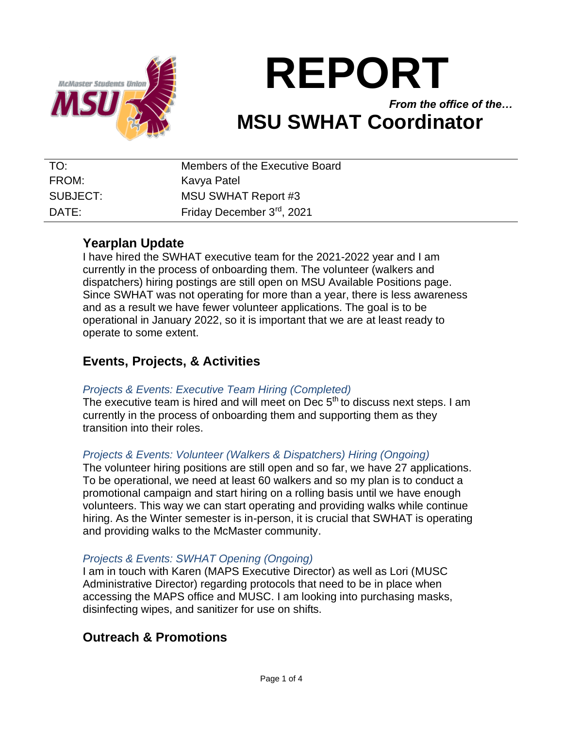

# **REPORT**

*From the office of the…* **MSU SWHAT Coordinator**

| TO:      | Members of the Executive Board |
|----------|--------------------------------|
| FROM:    | Kavya Patel                    |
| SUBJECT: | <b>MSU SWHAT Report #3</b>     |
| DATE:    | Friday December 3rd, 2021      |

# **Yearplan Update**

I have hired the SWHAT executive team for the 2021-2022 year and I am currently in the process of onboarding them. The volunteer (walkers and dispatchers) hiring postings are still open on MSU Available Positions page. Since SWHAT was not operating for more than a year, there is less awareness and as a result we have fewer volunteer applications. The goal is to be operational in January 2022, so it is important that we are at least ready to operate to some extent.

# **Events, Projects, & Activities**

# *Projects & Events: Executive Team Hiring (Completed)*

The executive team is hired and will meet on Dec  $5<sup>th</sup>$  to discuss next steps. I am currently in the process of onboarding them and supporting them as they transition into their roles.

## *Projects & Events: Volunteer (Walkers & Dispatchers) Hiring (Ongoing)*

The volunteer hiring positions are still open and so far, we have 27 applications. To be operational, we need at least 60 walkers and so my plan is to conduct a promotional campaign and start hiring on a rolling basis until we have enough volunteers. This way we can start operating and providing walks while continue hiring. As the Winter semester is in-person, it is crucial that SWHAT is operating and providing walks to the McMaster community.

## *Projects & Events: SWHAT Opening (Ongoing)*

I am in touch with Karen (MAPS Executive Director) as well as Lori (MUSC Administrative Director) regarding protocols that need to be in place when accessing the MAPS office and MUSC. I am looking into purchasing masks, disinfecting wipes, and sanitizer for use on shifts.

# **Outreach & Promotions**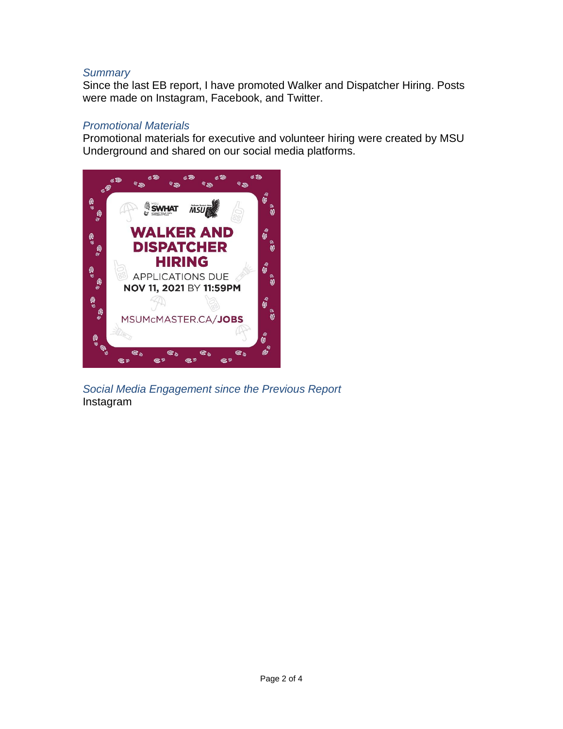#### *Summary*

Since the last EB report, I have promoted Walker and Dispatcher Hiring. Posts were made on Instagram, Facebook, and Twitter.

## *Promotional Materials*

Promotional materials for executive and volunteer hiring were created by MSU Underground and shared on our social media platforms.



*Social Media Engagement since the Previous Report* Instagram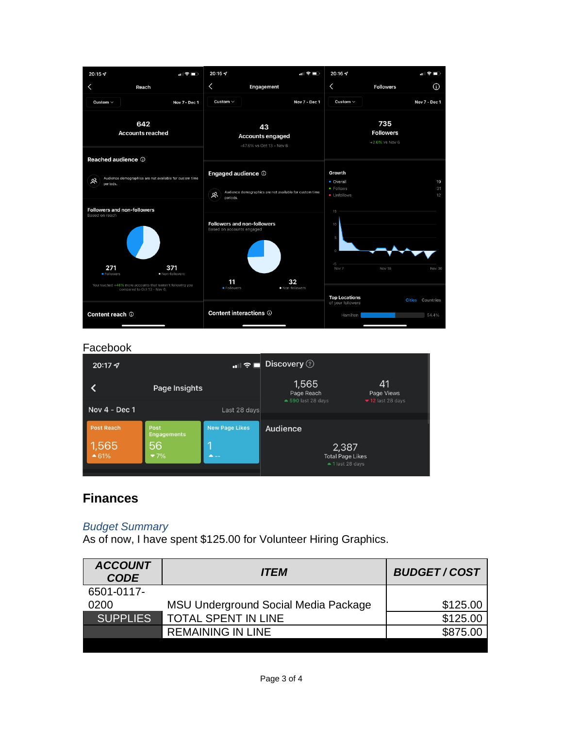

#### Facebook

| $20:17 - 7$       | …⊪ ≑ ■ Discovery ⑦         |                       |                                                      |                                                           |
|-------------------|----------------------------|-----------------------|------------------------------------------------------|-----------------------------------------------------------|
|                   | Page Insights              |                       | 1,565<br>Page Reach                                  | 41<br>Page Views<br>$\blacktriangleright$ 12 last 28 days |
| Nov 4 - Dec 1     |                            | Last 28 days          | $\triangle$ 590 last 28 days                         |                                                           |
| <b>Post Reach</b> | Post<br><b>Engagements</b> | <b>New Page Likes</b> | Audience                                             |                                                           |
| 1,565<br>$-61%$   | 56<br>$7\%$                | ▲--                   | 2,387<br><b>Total Page Likes</b><br>▲ 1 last 28 days |                                                           |

# **Finances**

### *Budget Summary*

As of now, I have spent \$125.00 for Volunteer Hiring Graphics.

| \$125.00 |
|----------|
| \$125.00 |
| \$875.00 |
|          |